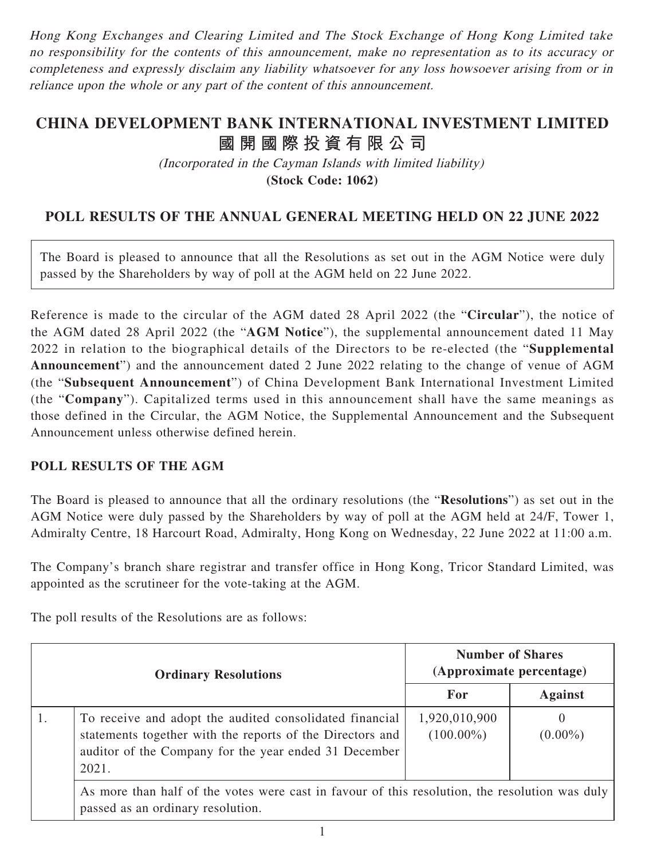Hong Kong Exchanges and Clearing Limited and The Stock Exchange of Hong Kong Limited take no responsibility for the contents of this announcement, make no representation as to its accuracy or completeness and expressly disclaim any liability whatsoever for any loss howsoever arising from or in reliance upon the whole or any part of the content of this announcement.

## **CHINA DEVELOPMENT BANK INTERNATIONAL INVESTMENT LIMITED 國開國際投資有限公司**

(Incorporated in the Cayman Islands with limited liability) **(Stock Code: 1062)**

## **POLL RESULTS OF THE ANNUAL GENERAL MEETING HELD ON 22 JUNE 2022**

The Board is pleased to announce that all the Resolutions as set out in the AGM Notice were duly passed by the Shareholders by way of poll at the AGM held on 22 June 2022.

Reference is made to the circular of the AGM dated 28 April 2022 (the "**Circular**"), the notice of the AGM dated 28 April 2022 (the "**AGM Notice**"), the supplemental announcement dated 11 May 2022 in relation to the biographical details of the Directors to be re-elected (the "**Supplemental Announcement**") and the announcement dated 2 June 2022 relating to the change of venue of AGM (the "**Subsequent Announcement**") of China Development Bank International Investment Limited (the "**Company**"). Capitalized terms used in this announcement shall have the same meanings as those defined in the Circular, the AGM Notice, the Supplemental Announcement and the Subsequent Announcement unless otherwise defined herein.

## **POLL RESULTS OF THE AGM**

The Board is pleased to announce that all the ordinary resolutions (the "**Resolutions**") as set out in the AGM Notice were duly passed by the Shareholders by way of poll at the AGM held at 24/F, Tower 1, Admiralty Centre, 18 Harcourt Road, Admiralty, Hong Kong on Wednesday, 22 June 2022 at 11:00 a.m.

The Company's branch share registrar and transfer office in Hong Kong, Tricor Standard Limited, was appointed as the scrutineer for the vote-taking at the AGM.

The poll results of the Resolutions are as follows:

| <b>Ordinary Resolutions</b> |                                                                                                                                                                                        | <b>Number of Shares</b><br>(Approximate percentage) |                        |  |
|-----------------------------|----------------------------------------------------------------------------------------------------------------------------------------------------------------------------------------|-----------------------------------------------------|------------------------|--|
|                             |                                                                                                                                                                                        | For                                                 | <b>Against</b>         |  |
| $\perp$ .                   | To receive and adopt the audited consolidated financial<br>statements together with the reports of the Directors and<br>auditor of the Company for the year ended 31 December<br>2021. | 1,920,010,900<br>$(100.00\%)$                       | $\theta$<br>$(0.00\%)$ |  |
|                             | As more than half of the votes were cast in favour of this resolution, the resolution was duly<br>passed as an ordinary resolution.                                                    |                                                     |                        |  |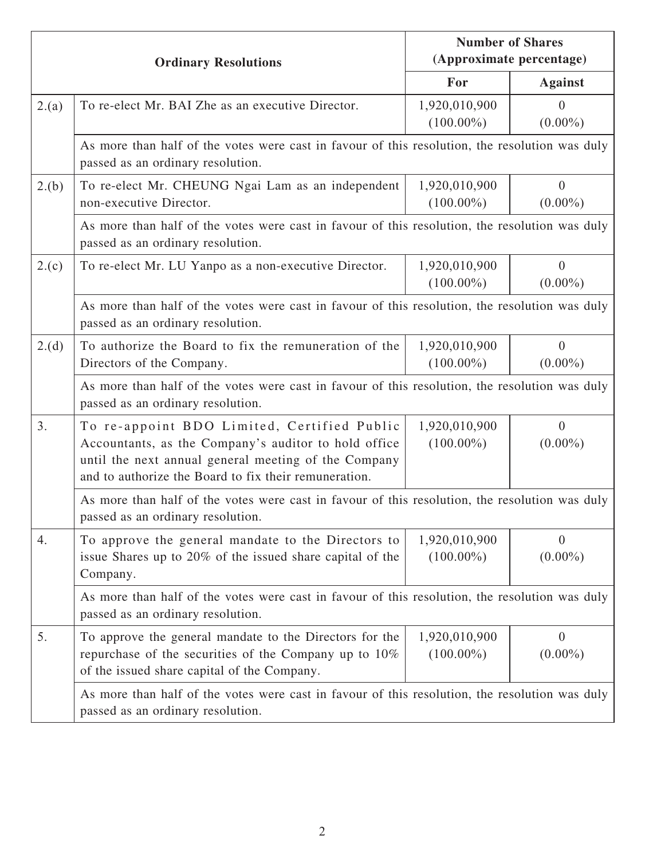| <b>Ordinary Resolutions</b> |                                                                                                                                                                                                                      | <b>Number of Shares</b><br>(Approximate percentage) |                              |  |  |
|-----------------------------|----------------------------------------------------------------------------------------------------------------------------------------------------------------------------------------------------------------------|-----------------------------------------------------|------------------------------|--|--|
|                             |                                                                                                                                                                                                                      | For                                                 | <b>Against</b>               |  |  |
| 2.(a)                       | To re-elect Mr. BAI Zhe as an executive Director.                                                                                                                                                                    | 1,920,010,900<br>$(100.00\%)$                       | $\theta$<br>$(0.00\%)$       |  |  |
|                             | As more than half of the votes were cast in favour of this resolution, the resolution was duly<br>passed as an ordinary resolution.                                                                                  |                                                     |                              |  |  |
| 2.(b)                       | To re-elect Mr. CHEUNG Ngai Lam as an independent<br>non-executive Director.                                                                                                                                         | 1,920,010,900<br>$(100.00\%)$                       | $\overline{0}$<br>$(0.00\%)$ |  |  |
|                             | As more than half of the votes were cast in favour of this resolution, the resolution was duly<br>passed as an ordinary resolution.                                                                                  |                                                     |                              |  |  |
| 2.(c)                       | To re-elect Mr. LU Yanpo as a non-executive Director.                                                                                                                                                                | 1,920,010,900<br>$(100.00\%)$                       | $\mathbf{0}$<br>$(0.00\%)$   |  |  |
|                             | As more than half of the votes were cast in favour of this resolution, the resolution was duly<br>passed as an ordinary resolution.                                                                                  |                                                     |                              |  |  |
| 2.(d)                       | To authorize the Board to fix the remuneration of the<br>Directors of the Company.                                                                                                                                   | 1,920,010,900<br>$(100.00\%)$                       | $\overline{0}$<br>$(0.00\%)$ |  |  |
|                             | As more than half of the votes were cast in favour of this resolution, the resolution was duly<br>passed as an ordinary resolution.                                                                                  |                                                     |                              |  |  |
| 3.                          | To re-appoint BDO Limited, Certified Public<br>Accountants, as the Company's auditor to hold office<br>until the next annual general meeting of the Company<br>and to authorize the Board to fix their remuneration. | 1,920,010,900<br>$(100.00\%)$                       | $\mathbf{0}$<br>$(0.00\%)$   |  |  |
|                             | As more than half of the votes were cast in favour of this resolution, the resolution was duly<br>passed as an ordinary resolution.                                                                                  |                                                     |                              |  |  |
| 4.                          | To approve the general mandate to the Directors to<br>issue Shares up to 20% of the issued share capital of the<br>Company.                                                                                          | 1,920,010,900<br>$(100.00\%)$                       | $\theta$<br>$(0.00\%)$       |  |  |
|                             | As more than half of the votes were cast in favour of this resolution, the resolution was duly<br>passed as an ordinary resolution.                                                                                  |                                                     |                              |  |  |
| 5.                          | To approve the general mandate to the Directors for the<br>repurchase of the securities of the Company up to 10%<br>of the issued share capital of the Company.                                                      | 1,920,010,900<br>$(100.00\%)$                       | $\mathbf{0}$<br>$(0.00\%)$   |  |  |
|                             | As more than half of the votes were cast in favour of this resolution, the resolution was duly<br>passed as an ordinary resolution.                                                                                  |                                                     |                              |  |  |